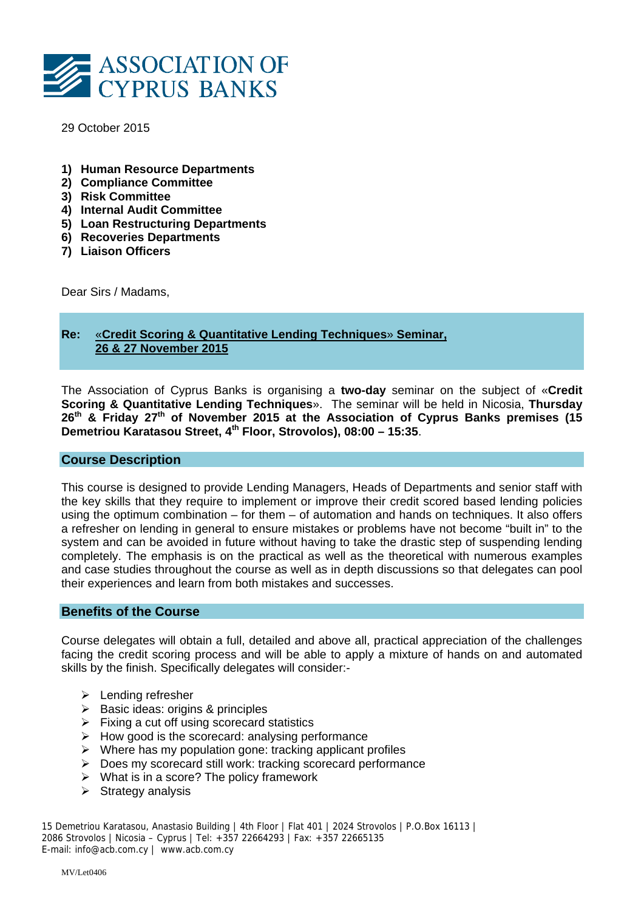

29 October 2015

- **1) Human Resource Departments**
- **2) Compliance Committee**
- **3) Risk Committee**
- **4) Internal Audit Committee**
- **5) Loan Restructuring Departments**
- **6) Recoveries Departments**
- **7) Liaison Officers**

Dear Sirs / Madams,

# **Re:** «**Credit Scoring & Quantitative Lending Techniques**» **Seminar, 26 & 27 November 2015**

The Association of Cyprus Banks is organising a **two-day** seminar on the subject of «**Credit Scoring & Quantitative Lending Techniques**». The seminar will be held in Nicosia, **Thursday 26th & Friday 27th of November 2015 at the Association of Cyprus Banks premises (15 Demetriou Karatasou Street, 4th Floor, Strovolos), 08:00 – 15:35**.

## **Course Description**

This course is designed to provide Lending Managers, Heads of Departments and senior staff with the key skills that they require to implement or improve their credit scored based lending policies using the optimum combination – for them – of automation and hands on techniques. It also offers a refresher on lending in general to ensure mistakes or problems have not become "built in" to the system and can be avoided in future without having to take the drastic step of suspending lending completely. The emphasis is on the practical as well as the theoretical with numerous examples and case studies throughout the course as well as in depth discussions so that delegates can pool their experiences and learn from both mistakes and successes.

## **Benefits of the Course**

Course delegates will obtain a full, detailed and above all, practical appreciation of the challenges facing the credit scoring process and will be able to apply a mixture of hands on and automated skills by the finish. Specifically delegates will consider:-

- > Lending refresher
- $\triangleright$  Basic ideas: origins & principles
- $\triangleright$  Fixing a cut off using scorecard statistics
- $\triangleright$  How good is the scorecard: analysing performance
- $\triangleright$  Where has my population gone: tracking applicant profiles
- $\triangleright$  Does my scorecard still work: tracking scorecard performance
- $\triangleright$  What is in a score? The policy framework
- $\triangleright$  Strategy analysis

15 Demetriou Karatasou, Anastasio Building | 4th Floor | Flat 401 | 2024 Strovolos | P.O.Box 16113 | 2086 Strovolos | Nicosia – Cyprus | Tel: +357 22664293 | Fax: +357 22665135 E-mail: info@acb.com.cy | www.acb.com.cy